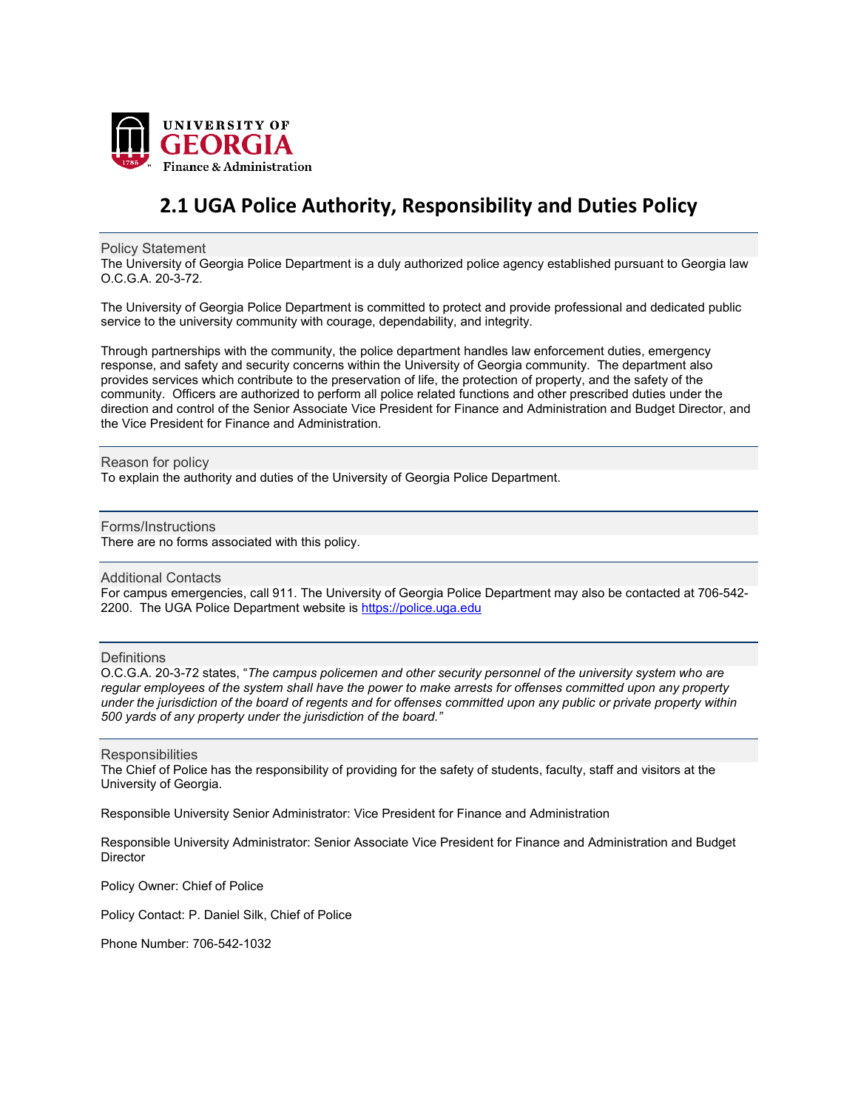

## **2.1 UGA Police Authority, Responsibility and Duties Policy**

Policy Statement

The University of Georgia Police Department is a duly authorized police agency established pursuant to Georgia law O.C.G.A. 20-3-72.

The University of Georgia Police Department is committed to protect and provide professional and dedicated public service to the university community with courage, dependability, and integrity.

Through partnerships with the community, the police department handles law enforcement duties, emergency response, and safety and security concerns within the University of Georgia community. The department also provides services which contribute to the preservation of life, the protection of property, and the safety of the community. Officers are authorized to perform all police related functions and other prescribed duties under the direction and control of the Senior Associate Vice President for Finance and Administration and Budget Director, and the Vice President for Finance and Administration.

Reason for policy

To explain the authority and duties of the University of Georgia Police Department.

Forms/Instructions

There are no forms associated with this policy.

Additional Contacts

For campus emergencies, call 911. The University of Georgia Police Department may also be contacted at 706-542- 2200. The UGA Police Department website is [https://police.uga.edu](https://police.uga.edu/)

## **Definitions**

O.C.G.A. 20-3-72 states, "*The campus policemen and other security personnel of the university system who are regular employees of the system shall have the power to make arrests for offenses committed upon any property under the jurisdiction of the board of regents and for offenses committed upon any public or private property within 500 yards of any property under the jurisdiction of the board."* 

**Responsibilities** 

The Chief of Police has the responsibility of providing for the safety of students, faculty, staff and visitors at the University of Georgia.

Responsible University Senior Administrator: Vice President for Finance and Administration

Responsible University Administrator: Senior Associate Vice President for Finance and Administration and Budget **Director** 

Policy Owner: Chief of Police

Policy Contact: P. Daniel Silk, Chief of Police

Phone Number: 706-542-1032